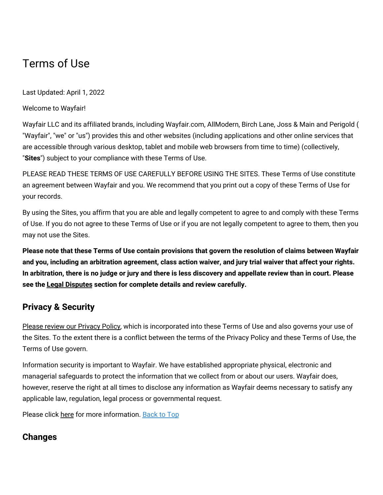# Terms of Use

Last Updated: April 1, 2022

Welcome to Wayfair!

Wayfair LLC and its affiliated brands, including Wayfair.com, AllModern, Birch Lane, Joss & Main and Perigold ( "Wayfair", "we" or "us") provides this and other websites (including applications and other online services that are accessible through various desktop, tablet and mobile web browsers from time to time) (collectively, "**Sites**") subject to your compliance with these Terms of Use.

PLEASE READ THESE TERMS OF USE CAREFULLY BEFORE USING THE SITES. These Terms of Use constitute an agreement between Wayfair and you. We recommend that you print out a copy of these Terms of Use for your records.

By using the Sites, you affirm that you are able and legally competent to agree to and comply with these Terms of Use. If you do not agree to these Terms of Use or if you are not legally competent to agree to them, then you may not use the Sites.

Please note that these Terms of Use contain provisions that govern the resolution of claims between Wayfair and you, including an arbitration agreement, class action waiver, and jury trial waiver that affect your rights. In arbitration, there is no judge or jury and there is less discovery and appellate review than in court. Please **see the Legal [Disputes](#terms-disputes) section for complete details and review carefully.**

## **Privacy & Security**

Please review our [Privacy](https://terms.wayfair.io/en-US#wfus-privacy) Policy, which is incorporated into these Terms of Use and also governs your use of the Sites. To the extent there is a conflict between the terms of the Privacy Policy and these Terms of Use, the Terms of Use govern.

Information security is important to Wayfair. We have established appropriate physical, electronic and managerial safeguards to protect the information that we collect from or about our users. Wayfair does, however, reserve the right at all times to disclose any information as Wayfair deems necessary to satisfy any applicable law, regulation, legal process or governmental request.

Please click [here](https://terms.wayfair.io/en-US#wfus-privacy-security) for more information. [Back](#wfus-terms-top) to Top

# **Changes**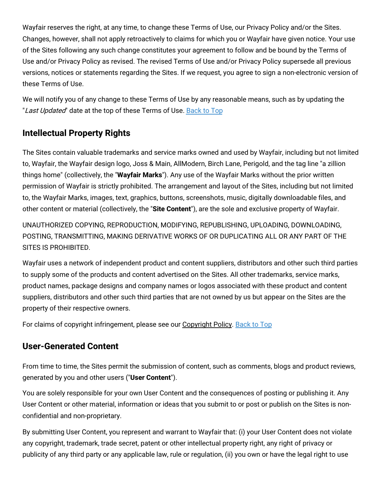Wayfair reserves the right, at any time, to change these Terms of Use, our Privacy Policy and/or the Sites. Changes, however, shall not apply retroactively to claims for which you or Wayfair have given notice. Your use of the Sites following any such change constitutes your agreement to follow and be bound by the Terms of Use and/or Privacy Policy as revised. The revised Terms of Use and/or Privacy Policy supersede all previous versions, notices or statements regarding the Sites. If we request, you agree to sign a non-electronic version of these Terms of Use.

We will notify you of any change to these Terms of Use by any reasonable means, such as by updating the "Last Updated" date at the top of these Terms of Use. [Back](#wfus-terms-top) to Top

### **Intellectual Property Rights**

The Sites contain valuable trademarks and service marks owned and used by Wayfair, including but not limited to, Wayfair, the Wayfair design logo, Joss & Main, AllModern, Birch Lane, Perigold, and the tag line "a zillion things home" (collectively, the "**Wayfair Marks**"). Any use of the Wayfair Marks without the prior written permission of Wayfair is strictly prohibited. The arrangement and layout of the Sites, including but not limited to, the Wayfair Marks, images, text, graphics, buttons, screenshots, music, digitally downloadable files, and other content or material (collectively, the "**Site Content**"), are the sole and exclusive property of Wayfair.

UNAUTHORIZED COPYING, REPRODUCTION, MODIFYING, REPUBLISHING, UPLOADING, DOWNLOADING, POSTING, TRANSMITTING, MAKING DERIVATIVE WORKS OF OR DUPLICATING ALL OR ANY PART OF THE SITES IS PROHIBITED.

Wayfair uses a network of independent product and content suppliers, distributors and other such third parties to supply some of the products and content advertised on the Sites. All other trademarks, service marks, product names, package designs and company names or logos associated with these product and content suppliers, distributors and other such third parties that are not owned by us but appear on the Sites are the property of their respective owners.

For claims of copyright infringement, please see our [Copyright](https://terms.wayfair.io/en-US#wfus-copyright) Policy. [Back](#wfus-terms-top) to Top

### **User-Generated Content**

From time to time, the Sites permit the submission of content, such as comments, blogs and product reviews, generated by you and other users ("**User Content**").

You are solely responsible for your own User Content and the consequences of posting or publishing it. Any User Content or other material, information or ideas that you submit to or post or publish on the Sites is nonconfidential and non-proprietary.

By submitting User Content, you represent and warrant to Wayfair that: (i) your User Content does not violate any copyright, trademark, trade secret, patent or other intellectual property right, any right of privacy or publicity of any third party or any applicable law, rule or regulation, (ii) you own or have the legal right to use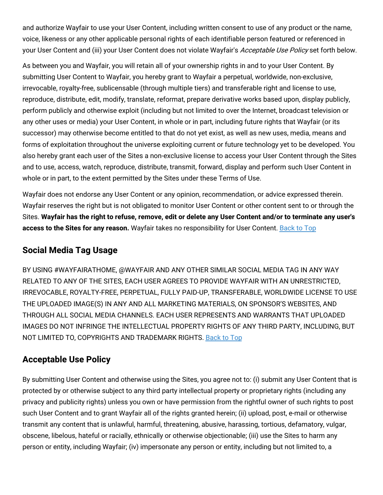and authorize Wayfair to use your User Content, including written consent to use of any product or the name, voice, likeness or any other applicable personal rights of each identifiable person featured or referenced in your User Content and (iii) your User Content does not violate Wayfair's Acceptable Use Policy set forth below.

As between you and Wayfair, you will retain all of your ownership rights in and to your User Content. By submitting User Content to Wayfair, you hereby grant to Wayfair a perpetual, worldwide, non-exclusive, irrevocable, royalty-free, sublicensable (through multiple tiers) and transferable right and license to use, reproduce, distribute, edit, modify, translate, reformat, prepare derivative works based upon, display publicly, perform publicly and otherwise exploit (including but not limited to over the Internet, broadcast television or any other uses or media) your User Content, in whole or in part, including future rights that Wayfair (or its successor) may otherwise become entitled to that do not yet exist, as well as new uses, media, means and forms of exploitation throughout the universe exploiting current or future technology yet to be developed. You also hereby grant each user of the Sites a non-exclusive license to access your User Content through the Sites and to use, access, watch, reproduce, distribute, transmit, forward, display and perform such User Content in whole or in part, to the extent permitted by the Sites under these Terms of Use.

Wayfair does not endorse any User Content or any opinion, recommendation, or advice expressed therein. Wayfair reserves the right but is not obligated to monitor User Content or other content sent to or through the Sites. Wayfair has the right to refuse, remove, edit or delete any User Content and/or to terminate any user's **access to the Sites for any reason.** Wayfair takes no responsibility for User Content. [Back](#wfus-terms-top) to Top

### **Social Media Tag Usage**

BY USING #WAYFAIRATHOME, @WAYFAIR AND ANY OTHER SIMILAR SOCIAL MEDIA TAG IN ANY WAY RELATED TO ANY OF THE SITES, EACH USER AGREES TO PROVIDE WAYFAIR WITH AN UNRESTRICTED, IRREVOCABLE, ROYALTY-FREE, PERPETUAL, FULLY PAID-UP, TRANSFERABLE, WORLDWIDE LICENSE TO USE THE UPLOADED IMAGE(S) IN ANY AND ALL MARKETING MATERIALS, ON SPONSOR'S WEBSITES, AND THROUGH ALL SOCIAL MEDIA CHANNELS. EACH USER REPRESENTS AND WARRANTS THAT UPLOADED IMAGES DO NOT INFRINGE THE INTELLECTUAL PROPERTY RIGHTS OF ANY THIRD PARTY, INCLUDING, BUT NOT LIMITED TO, COPYRIGHTS AND TRADEMARK RIGHTS. [Back](#wfus-terms-top) to Top

### **Acceptable Use Policy**

By submitting User Content and otherwise using the Sites, you agree not to: (i) submit any User Content that is protected by or otherwise subject to any third party intellectual property or proprietary rights (including any privacy and publicity rights) unless you own or have permission from the rightful owner of such rights to post such User Content and to grant Wayfair all of the rights granted herein; (ii) upload, post, e-mail or otherwise transmit any content that is unlawful, harmful, threatening, abusive, harassing, tortious, defamatory, vulgar, obscene, libelous, hateful or racially, ethnically or otherwise objectionable; (iii) use the Sites to harm any person or entity, including Wayfair; (iv) impersonate any person or entity, including but not limited to, a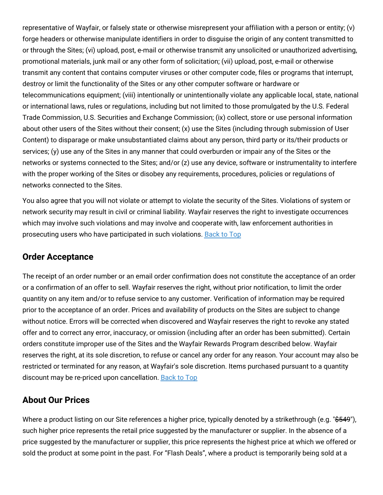representative of Wayfair, or falsely state or otherwise misrepresent your affiliation with a person or entity; (v) forge headers or otherwise manipulate identifiers in order to disguise the origin of any content transmitted to or through the Sites; (vi) upload, post, e-mail or otherwise transmit any unsolicited or unauthorized advertising, promotional materials, junk mail or any other form of solicitation; (vii) upload, post, e-mail or otherwise transmit any content that contains computer viruses or other computer code, files or programs that interrupt, destroy or limit the functionality of the Sites or any other computer software or hardware or telecommunications equipment; (viii) intentionally or unintentionally violate any applicable local, state, national or international laws, rules or regulations, including but not limited to those promulgated by the U.S. Federal Trade Commission, U.S. Securities and Exchange Commission; (ix) collect, store or use personal information about other users of the Sites without their consent; (x) use the Sites (including through submission of User Content) to disparage or make unsubstantiated claims about any person, third party or its/their products or services; (y) use any of the Sites in any manner that could overburden or impair any of the Sites or the networks or systems connected to the Sites; and/or (z) use any device, software or instrumentality to interfere with the proper working of the Sites or disobey any requirements, procedures, policies or regulations of networks connected to the Sites.

You also agree that you will not violate or attempt to violate the security of the Sites. Violations of system or network security may result in civil or criminal liability. Wayfair reserves the right to investigate occurrences which may involve such violations and may involve and cooperate with, law enforcement authorities in prosecuting users who have participated in such violations. [Back](#wfus-terms-top) to Top

### **Order Acceptance**

The receipt of an order number or an email order confirmation does not constitute the acceptance of an order or a confirmation of an offer to sell. Wayfair reserves the right, without prior notification, to limit the order quantity on any item and/or to refuse service to any customer. Verification of information may be required prior to the acceptance of an order. Prices and availability of products on the Sites are subject to change without notice. Errors will be corrected when discovered and Wayfair reserves the right to revoke any stated offer and to correct any error, inaccuracy, or omission (including after an order has been submitted). Certain orders constitute improper use of the Sites and the Wayfair Rewards Program described below. Wayfair reserves the right, at its sole discretion, to refuse or cancel any order for any reason. Your account may also be restricted or terminated for any reason, at Wayfair's sole discretion. Items purchased pursuant to a quantity discount may be re-priced upon cancellation. [Back](#wfus-terms-top) to Top

### **About Our Prices**

Where a product listing on our Site references a higher price, typically denoted by a strikethrough (e.g. "\$549"), such higher price represents the retail price suggested by the manufacturer or supplier. In the absence of a price suggested by the manufacturer or supplier, this price represents the highest price at which we offered or sold the product at some point in the past. For "Flash Deals", where a product is temporarily being sold at a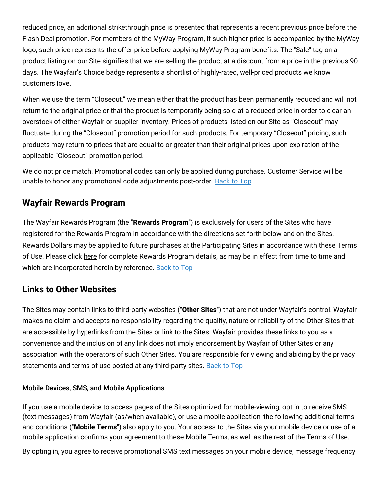reduced price, an additional strikethrough price is presented that represents a recent previous price before the Flash Deal promotion. For members of the MyWay Program, if such higher price is accompanied by the MyWay logo, such price represents the offer price before applying MyWay Program benefits. The "Sale" tag on a product listing on our Site signifies that we are selling the product at a discount from a price in the previous 90 days. The Wayfair's Choice badge represents a shortlist of highly-rated, well-priced products we know customers love.

When we use the term "Closeout," we mean either that the product has been permanently reduced and will not return to the original price or that the product is temporarily being sold at a reduced price in order to clear an overstock of either Wayfair or supplier inventory. Prices of products listed on our Site as "Closeout" may fluctuate during the "Closeout" promotion period for such products. For temporary "Closeout" pricing, such products may return to prices that are equal to or greater than their original prices upon expiration of the applicable "Closeout" promotion period.

We do not price match. Promotional codes can only be applied during purchase. Customer Service will be unable to honor any promotional code adjustments post-order. [Back](#wfus-terms-top) to Top

### **Wayfair Rewards Program**

The Wayfair Rewards Program (the "**Rewards Program**") is exclusively for users of the Sites who have registered for the Rewards Program in accordance with the directions set forth below and on the Sites. Rewards Dollars may be applied to future purchases at the Participating Sites in accordance with these Terms of Use. Please click [here](https://terms.wayfair.io/en-US#wfus-rewards) for complete Rewards Program details, as may be in effect from time to time and which are incorporated herein by reference. [Back](#wfus-terms-top) to Top

### **Links to Other Websites**

The Sites may contain links to third-party websites ("**Other Sites**") that are not under Wayfair's control. Wayfair makes no claim and accepts no responsibility regarding the quality, nature or reliability of the Other Sites that are accessible by hyperlinks from the Sites or link to the Sites. Wayfair provides these links to you as a convenience and the inclusion of any link does not imply endorsement by Wayfair of Other Sites or any association with the operators of such Other Sites. You are responsible for viewing and abiding by the privacy statements and terms of use posted at any third-party sites. [Back](#wfus-terms-top) to Top

#### Mobile Devices, SMS, and Mobile Applications

If you use a mobile device to access pages of the Sites optimized for mobile-viewing, opt in to receive SMS (text messages) from Wayfair (as/when available), or use a mobile application, the following additional terms and conditions ("**Mobile Terms**") also apply to you. Your access to the Sites via your mobile device or use of a mobile application confirms your agreement to these Mobile Terms, as well as the rest of the Terms of Use.

By opting in, you agree to receive promotional SMS text messages on your mobile device, message frequency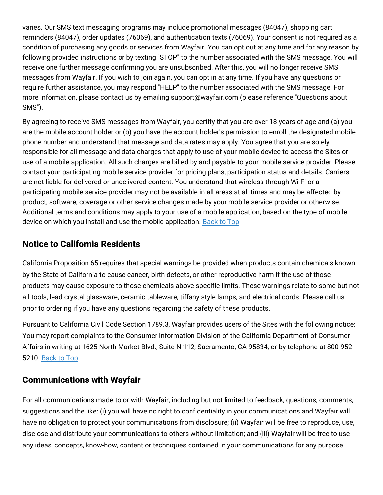varies. Our SMS text messaging programs may include promotional messages (84047), shopping cart reminders (84047), order updates (76069), and authentication texts (76069). Your consent is not required as a condition of purchasing any goods or services from Wayfair. You can opt out at any time and for any reason by following provided instructions or by texting "STOP" to the number associated with the SMS message. You will receive one further message confirming you are unsubscribed. After this, you will no longer receive SMS messages from Wayfair. If you wish to join again, you can opt in at any time. If you have any questions or require further assistance, you may respond "HELP" to the number associated with the SMS message. For more information, please contact us by emailing [support@wayfair.com](mailto:support@wayfair.com) (please reference "Questions about SMS").

By agreeing to receive SMS messages from Wayfair, you certify that you are over 18 years of age and (a) you are the mobile account holder or (b) you have the account holder's permission to enroll the designated mobile phone number and understand that message and data rates may apply. You agree that you are solely responsible for all message and data charges that apply to use of your mobile device to access the Sites or use of a mobile application. All such charges are billed by and payable to your mobile service provider. Please contact your participating mobile service provider for pricing plans, participation status and details. Carriers are not liable for delivered or undelivered content. You understand that wireless through Wi-Fi or a participating mobile service provider may not be available in all areas at all times and may be affected by product, software, coverage or other service changes made by your mobile service provider or otherwise. Additional terms and conditions may apply to your use of a mobile application, based on the type of mobile device on which you install and use the mobile application. [Back](#wfus-terms-top) to Top

### **Notice to California Residents**

California Proposition 65 requires that special warnings be provided when products contain chemicals known by the State of California to cause cancer, birth defects, or other reproductive harm if the use of those products may cause exposure to those chemicals above specific limits. These warnings relate to some but not all tools, lead crystal glassware, ceramic tableware, tiffany style lamps, and electrical cords. Please call us prior to ordering if you have any questions regarding the safety of these products.

Pursuant to California Civil Code Section 1789.3, Wayfair provides users of the Sites with the following notice: You may report complaints to the Consumer Information Division of the California Department of Consumer Affairs in writing at 1625 North Market Blvd., Suite N 112, Sacramento, CA 95834, or by telephone at 800-952- 5210. [Back](#wfus-terms-top) to Top

### **Communications with Wayfair**

For all communications made to or with Wayfair, including but not limited to feedback, questions, comments, suggestions and the like: (i) you will have no right to confidentiality in your communications and Wayfair will have no obligation to protect your communications from disclosure; (ii) Wayfair will be free to reproduce, use, disclose and distribute your communications to others without limitation; and (iii) Wayfair will be free to use any ideas, concepts, know-how, content or techniques contained in your communications for any purpose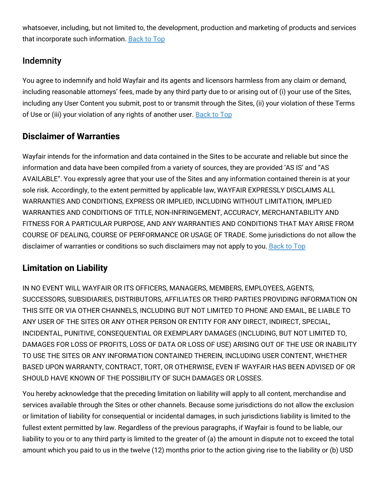whatsoever, including, but not limited to, the development, production and marketing of products and services that incorporate such information. [Back](#wfus-terms-top) to Top

# Indemnity

You agree to indemnify and hold Wayfair and its agents and licensors harmless from any claim or demand, including reasonable attorneys' fees, made by any third party due to or arising out of (i) your use of the Sites, including any User Content you submit, post to or transmit through the Sites, (ii) your violation of these Terms of Use or (iii) your violation of any rights of another user. [Back](#wfus-terms-top) to Top

# **Disclaimer of Warranties**

Wayfair intends for the information and data contained in the Sites to be accurate and reliable but since the information and data have been compiled from a variety of sources, they are provided 'AS IS' and "AS AVAILABLE". You expressly agree that your use of the Sites and any information contained therein is at your sole risk. Accordingly, to the extent permitted by applicable law, WAYFAIR EXPRESSLY DISCLAIMS ALL WARRANTIES AND CONDITIONS, EXPRESS OR IMPLIED, INCLUDING WITHOUT LIMITATION, IMPLIED WARRANTIES AND CONDITIONS OF TITLE, NON-INFRINGEMENT, ACCURACY, MERCHANTABILITY AND FITNESS FOR A PARTICULAR PURPOSE, AND ANY WARRANTIES AND CONDITIONS THAT MAY ARISE FROM COURSE OF DEALING, COURSE OF PERFORMANCE OR USAGE OF TRADE. Some jurisdictions do not allow the disclaimer of warranties or conditions so such disclaimers may not apply to you. [Back](#wfus-terms-top) to Top

# **Limitation on Liability**

IN NO EVENT WILL WAYFAIR OR ITS OFFICERS, MANAGERS, MEMBERS, EMPLOYEES, AGENTS, SUCCESSORS, SUBSIDIARIES, DISTRIBUTORS, AFFILIATES OR THIRD PARTIES PROVIDING INFORMATION ON THIS SITE OR VIA OTHER CHANNELS, INCLUDING BUT NOT LIMITED TO PHONE AND EMAIL, BE LIABLE TO ANY USER OF THE SITES OR ANY OTHER PERSON OR ENTITY FOR ANY DIRECT, INDIRECT, SPECIAL, INCIDENTAL, PUNITIVE, CONSEQUENTIAL OR EXEMPLARY DAMAGES (INCLUDING, BUT NOT LIMITED TO, DAMAGES FOR LOSS OF PROFITS, LOSS OF DATA OR LOSS OF USE) ARISING OUT OF THE USE OR INABILITY TO USE THE SITES OR ANY INFORMATION CONTAINED THEREIN, INCLUDING USER CONTENT, WHETHER BASED UPON WARRANTY, CONTRACT, TORT, OR OTHERWISE, EVEN IF WAYFAIR HAS BEEN ADVISED OF OR SHOULD HAVE KNOWN OF THE POSSIBILITY OF SUCH DAMAGES OR LOSSES.

You hereby acknowledge that the preceding limitation on liability will apply to all content, merchandise and services available through the Sites or other channels. Because some jurisdictions do not allow the exclusion or limitation of liability for consequential or incidental damages, in such jurisdictions liability is limited to the fullest extent permitted by law. Regardless of the previous paragraphs, if Wayfair is found to be liable, our liability to you or to any third party is limited to the greater of (a) the amount in dispute not to exceed the total amount which you paid to us in the twelve (12) months prior to the action giving rise to the liability or (b) USD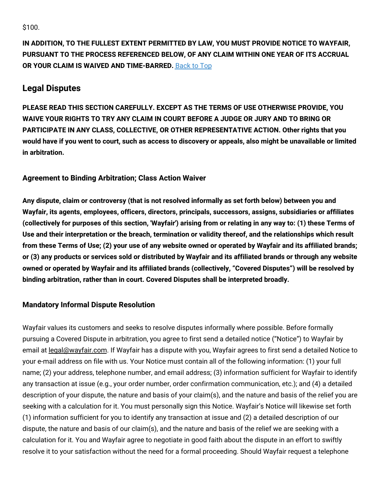\$100.

**IN ADDITION, TO THE FULLEST EXTENT PERMITTED BY LAW, YOU MUST PROVIDE NOTICE TO WAYFAIR, PURSUANT TO THE PROCESS REFERENCED BELOW, OF ANY CLAIM WITHIN ONE YEAR OF ITS ACCRUAL OR YOUR CLAIM IS WAIVED AND TIME-BARRED.** [Back](#wfus-terms-top) to Top

### **Legal Disputes**

**PLEASE READ THIS SECTION CAREFULLY. EXCEPT AS THE TERMS OF USE OTHERWISE PROVIDE, YOU WAIVE YOUR RIGHTS TO TRY ANY CLAIM IN COURT BEFORE A JUDGE OR JURY AND TO BRING OR PARTICIPATE IN ANY CLASS, COLLECTIVE, OR OTHER REPRESENTATIVE ACTION. Other rights that you** would have if you went to court, such as access to discovery or appeals, also might be unavailable or limited **in arbitration.**

#### **Agreement to Binding Arbitration; Class Action Waiver**

**Any dispute, claim or controversy (that is not resolved informally as set forth below) between you and Wayfair, its agents, employees, officers, directors, principals, successors, assigns, subsidiaries or affiliates** (collectively for purposes of this section, 'Wayfair') arising from or relating in any way to: (1) these Terms of **Use and their interpretation or the breach, termination or validity thereof, and the relationships which result** from these Terms of Use; (2) your use of any website owned or operated by Wayfair and its affiliated brands; or (3) any products or services sold or distributed by Wayfair and its affiliated brands or through any website **owned or operated by Wayfair and its affiliated brands (collectively, "Covered Disputes") will be resolved by binding arbitration, rather than in court. Covered Disputes shall be interpreted broadly.**

#### **Mandatory Informal Dispute Resolution**

Wayfair values its customers and seeks to resolve disputes informally where possible. Before formally pursuing a Covered Dispute in arbitration, you agree to first send a detailed notice ("Notice") to Wayfair by email at [legal@wayfair.com.](mailto:legal@wayfair.com) If Wayfair has a dispute with you, Wayfair agrees to first send a detailed Notice to your e-mail address on file with us. Your Notice must contain all of the following information: (1) your full name; (2) your address, telephone number, and email address; (3) information sufficient for Wayfair to identify any transaction at issue (e.g., your order number, order confirmation communication, etc.); and (4) a detailed description of your dispute, the nature and basis of your claim(s), and the nature and basis of the relief you are seeking with a calculation for it. You must personally sign this Notice. Wayfair's Notice will likewise set forth (1) information sufficient for you to identify any transaction at issue and (2) a detailed description of our dispute, the nature and basis of our claim(s), and the nature and basis of the relief we are seeking with a calculation for it. You and Wayfair agree to negotiate in good faith about the dispute in an effort to swiftly resolve it to your satisfaction without the need for a formal proceeding. Should Wayfair request a telephone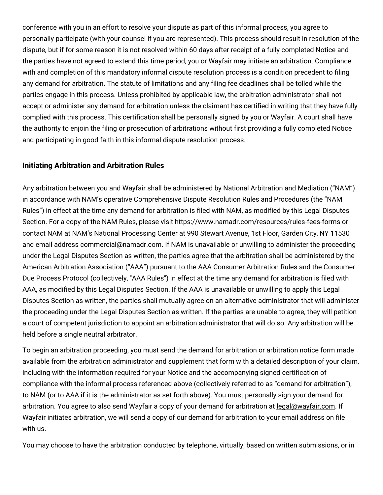conference with you in an effort to resolve your dispute as part of this informal process, you agree to personally participate (with your counsel if you are represented). This process should result in resolution of the dispute, but if for some reason it is not resolved within 60 days after receipt of a fully completed Notice and the parties have not agreed to extend this time period, you or Wayfair may initiate an arbitration. Compliance with and completion of this mandatory informal dispute resolution process is a condition precedent to filing any demand for arbitration. The statute of limitations and any filing fee deadlines shall be tolled while the parties engage in this process. Unless prohibited by applicable law, the arbitration administrator shall not accept or administer any demand for arbitration unless the claimant has certified in writing that they have fully complied with this process. This certification shall be personally signed by you or Wayfair. A court shall have the authority to enjoin the filing or prosecution of arbitrations without first providing a fully completed Notice and participating in good faith in this informal dispute resolution process.

#### **Initiating Arbitration and Arbitration Rules**

Any arbitration between you and Wayfair shall be administered by National Arbitration and Mediation ("NAM") in accordance with NAM's operative Comprehensive Dispute Resolution Rules and Procedures (the "NAM Rules") in effect at the time any demand for arbitration is filed with NAM, as modified by this Legal Disputes Section. For a copy of the NAM Rules, please visit https://www.namadr.com/resources/rules-fees-forms or contact NAM at NAM's National Processing Center at 990 Stewart Avenue, 1st Floor, Garden City, NY 11530 and email address commercial@namadr.com. If NAM is unavailable or unwilling to administer the proceeding under the Legal Disputes Section as written, the parties agree that the arbitration shall be administered by the American Arbitration Association ("AAA") pursuant to the AAA Consumer Arbitration Rules and the Consumer Due Process Protocol (collectively, "AAA Rules") in effect at the time any demand for arbitration is filed with AAA, as modified by this Legal Disputes Section. If the AAA is unavailable or unwilling to apply this Legal Disputes Section as written, the parties shall mutually agree on an alternative administrator that will administer the proceeding under the Legal Disputes Section as written. If the parties are unable to agree, they will petition a court of competent jurisdiction to appoint an arbitration administrator that will do so. Any arbitration will be held before a single neutral arbitrator.

To begin an arbitration proceeding, you must send the demand for arbitration or arbitration notice form made available from the arbitration administrator and supplement that form with a detailed description of your claim, including with the information required for your Notice and the accompanying signed certification of compliance with the informal process referenced above (collectively referred to as "demand for arbitration"), to NAM (or to AAA if it is the administrator as set forth above). You must personally sign your demand for arbitration. You agree to also send Wayfair a copy of your demand for arbitration at [legal@wayfair.com.](mailto:legal@wayfair.com) If Wayfair initiates arbitration, we will send a copy of our demand for arbitration to your email address on file with us.

You may choose to have the arbitration conducted by telephone, virtually, based on written submissions, or in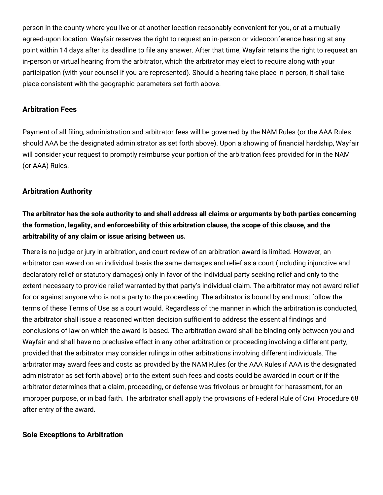person in the county where you live or at another location reasonably convenient for you, or at a mutually agreed-upon location. Wayfair reserves the right to request an in-person or videoconference hearing at any point within 14 days after its deadline to file any answer. After that time, Wayfair retains the right to request an in-person or virtual hearing from the arbitrator, which the arbitrator may elect to require along with your participation (with your counsel if you are represented). Should a hearing take place in person, it shall take place consistent with the geographic parameters set forth above.

#### **Arbitration Fees**

Payment of all filing, administration and arbitrator fees will be governed by the NAM Rules (or the AAA Rules should AAA be the designated administrator as set forth above). Upon a showing of financial hardship, Wayfair will consider your request to promptly reimburse your portion of the arbitration fees provided for in the NAM (or AAA) Rules.

#### **Arbitration Authority**

### The arbitrator has the sole authority to and shall address all claims or arguments by both parties concerning **the formation, legality, and enforceability of this arbitration clause, the scope of this clause, and the arbitrability of any claim or issue arising between us.**

There is no judge or jury in arbitration, and court review of an arbitration award is limited. However, an arbitrator can award on an individual basis the same damages and relief as a court (including injunctive and declaratory relief or statutory damages) only in favor of the individual party seeking relief and only to the extent necessary to provide relief warranted by that party's individual claim. The arbitrator may not award relief for or against anyone who is not a party to the proceeding. The arbitrator is bound by and must follow the terms of these Terms of Use as a court would. Regardless of the manner in which the arbitration is conducted, the arbitrator shall issue a reasoned written decision sufficient to address the essential findings and conclusions of law on which the award is based. The arbitration award shall be binding only between you and Wayfair and shall have no preclusive effect in any other arbitration or proceeding involving a different party, provided that the arbitrator may consider rulings in other arbitrations involving different individuals. The arbitrator may award fees and costs as provided by the NAM Rules (or the AAA Rules if AAA is the designated administrator as set forth above) or to the extent such fees and costs could be awarded in court or if the arbitrator determines that a claim, proceeding, or defense was frivolous or brought for harassment, for an improper purpose, or in bad faith. The arbitrator shall apply the provisions of Federal Rule of Civil Procedure 68 after entry of the award.

#### **Sole Exceptions to Arbitration**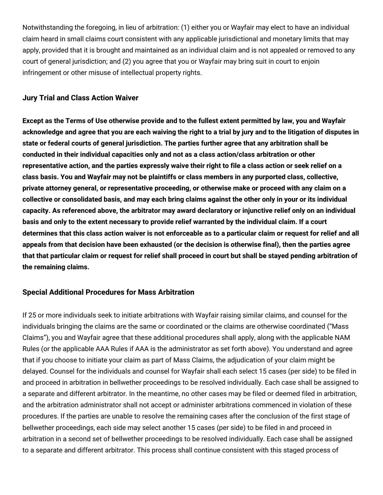Notwithstanding the foregoing, in lieu of arbitration: (1) either you or Wayfair may elect to have an individual claim heard in small claims court consistent with any applicable jurisdictional and monetary limits that may apply, provided that it is brought and maintained as an individual claim and is not appealed or removed to any court of general jurisdiction; and (2) you agree that you or Wayfair may bring suit in court to enjoin infringement or other misuse of intellectual property rights.

#### **Jury Trial and Class Action Waiver**

Except as the Terms of Use otherwise provide and to the fullest extent permitted by law, you and Wayfair acknowledge and agree that you are each waiving the right to a trial by jury and to the litigation of disputes in **state or federal courts of general jurisdiction. The parties further agree that any arbitration shall be conducted in their individual capacities only and not as a class action/class arbitration or other** representative action, and the parties expressly waive their right to file a class action or seek relief on a **class basis. You and Wayfair may not be plaintiffs or class members in any purported class, collective, private attorney general, or representative proceeding, or otherwise make or proceed with any claim on a** collective or consolidated basis, and may each bring claims against the other only in your or its individual **capacity. As referenced above, the arbitrator may award declaratory or injunctive relief only on an individual** basis and only to the extent necessary to provide relief warranted by the individual claim. If a court determines that this class action waiver is not enforceable as to a particular claim or request for relief and all appeals from that decision have been exhausted (or the decision is otherwise final), then the parties agree that that particular claim or request for relief shall proceed in court but shall be stayed pending arbitration of **the remaining claims.**

#### **Special Additional Procedures for Mass Arbitration**

If 25 or more individuals seek to initiate arbitrations with Wayfair raising similar claims, and counsel for the individuals bringing the claims are the same or coordinated or the claims are otherwise coordinated ("Mass Claims"), you and Wayfair agree that these additional procedures shall apply, along with the applicable NAM Rules (or the applicable AAA Rules if AAA is the administrator as set forth above). You understand and agree that if you choose to initiate your claim as part of Mass Claims, the adjudication of your claim might be delayed. Counsel for the individuals and counsel for Wayfair shall each select 15 cases (per side) to be filed in and proceed in arbitration in bellwether proceedings to be resolved individually. Each case shall be assigned to a separate and different arbitrator. In the meantime, no other cases may be filed or deemed filed in arbitration, and the arbitration administrator shall not accept or administer arbitrations commenced in violation of these procedures. If the parties are unable to resolve the remaining cases after the conclusion of the first stage of bellwether proceedings, each side may select another 15 cases (per side) to be filed in and proceed in arbitration in a second set of bellwether proceedings to be resolved individually. Each case shall be assigned to a separate and different arbitrator. This process shall continue consistent with this staged process of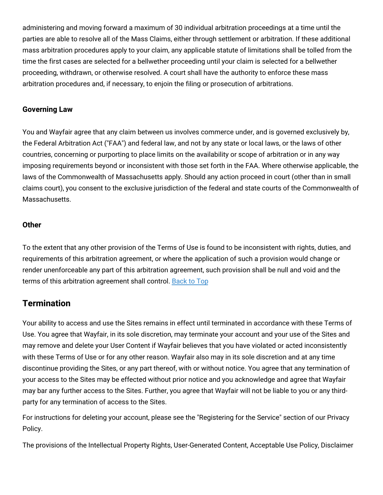administering and moving forward a maximum of 30 individual arbitration proceedings at a time until the parties are able to resolve all of the Mass Claims, either through settlement or arbitration. If these additional mass arbitration procedures apply to your claim, any applicable statute of limitations shall be tolled from the time the first cases are selected for a bellwether proceeding until your claim is selected for a bellwether proceeding, withdrawn, or otherwise resolved. A court shall have the authority to enforce these mass arbitration procedures and, if necessary, to enjoin the filing or prosecution of arbitrations.

#### **Governing Law**

You and Wayfair agree that any claim between us involves commerce under, and is governed exclusively by, the Federal Arbitration Act ("FAA") and federal law, and not by any state or local laws, or the laws of other countries, concerning or purporting to place limits on the availability or scope of arbitration or in any way imposing requirements beyond or inconsistent with those set forth in the FAA. Where otherwise applicable, the laws of the Commonwealth of Massachusetts apply. Should any action proceed in court (other than in small claims court), you consent to the exclusive jurisdiction of the federal and state courts of the Commonwealth of Massachusetts.

#### **Other**

To the extent that any other provision of the Terms of Use is found to be inconsistent with rights, duties, and requirements of this arbitration agreement, or where the application of such a provision would change or render unenforceable any part of this arbitration agreement, such provision shall be null and void and the terms of this arbitration agreement shall control. [Back](#wfus-terms-top) to Top

#### **Termination**

Your ability to access and use the Sites remains in effect until terminated in accordance with these Terms of Use. You agree that Wayfair, in its sole discretion, may terminate your account and your use of the Sites and may remove and delete your User Content if Wayfair believes that you have violated or acted inconsistently with these Terms of Use or for any other reason. Wayfair also may in its sole discretion and at any time discontinue providing the Sites, or any part thereof, with or without notice. You agree that any termination of your access to the Sites may be effected without prior notice and you acknowledge and agree that Wayfair may bar any further access to the Sites. Further, you agree that Wayfair will not be liable to you or any thirdparty for any termination of access to the Sites.

For instructions for deleting your account, please see the "Registering for the Service" section of our Privacy Policy.

The provisions of the Intellectual Property Rights, User-Generated Content, Acceptable Use Policy, Disclaimer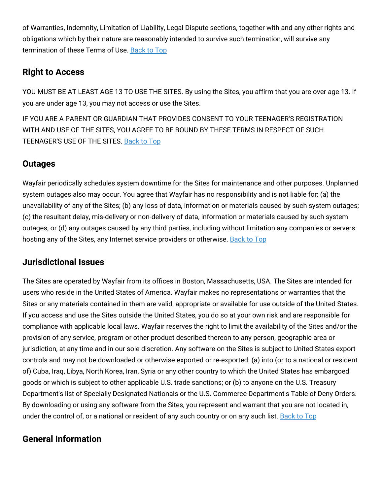of Warranties, Indemnity, Limitation of Liability, Legal Dispute sections, together with and any other rights and obligations which by their nature are reasonably intended to survive such termination, will survive any termination of these Terms of Use. [Back](#wfus-terms-top) to Top

### **Right to Access**

YOU MUST BE AT LEAST AGE 13 TO USE THE SITES. By using the Sites, you affirm that you are over age 13. If you are under age 13, you may not access or use the Sites.

IF YOU ARE A PARENT OR GUARDIAN THAT PROVIDES CONSENT TO YOUR TEENAGER'S REGISTRATION WITH AND USE OF THE SITES, YOU AGREE TO BE BOUND BY THESE TERMS IN RESPECT OF SUCH TEENAGER'S USE OF THE SITES. [Back](#wfus-terms-top) to Top

### **Outages**

Wayfair periodically schedules system downtime for the Sites for maintenance and other purposes. Unplanned system outages also may occur. You agree that Wayfair has no responsibility and is not liable for: (a) the unavailability of any of the Sites; (b) any loss of data, information or materials caused by such system outages; (c) the resultant delay, mis-delivery or non-delivery of data, information or materials caused by such system outages; or (d) any outages caused by any third parties, including without limitation any companies or servers hosting any of the Sites, any Internet service providers or otherwise. [Back](#wfus-terms-top) to Top

### **Jurisdictional Issues**

The Sites are operated by Wayfair from its offices in Boston, Massachusetts, USA. The Sites are intended for users who reside in the United States of America. Wayfair makes no representations or warranties that the Sites or any materials contained in them are valid, appropriate or available for use outside of the United States. If you access and use the Sites outside the United States, you do so at your own risk and are responsible for compliance with applicable local laws. Wayfair reserves the right to limit the availability of the Sites and/or the provision of any service, program or other product described thereon to any person, geographic area or jurisdiction, at any time and in our sole discretion. Any software on the Sites is subject to United States export controls and may not be downloaded or otherwise exported or re-exported: (a) into (or to a national or resident of) Cuba, Iraq, Libya, North Korea, Iran, Syria or any other country to which the United States has embargoed goods or which is subject to other applicable U.S. trade sanctions; or (b) to anyone on the U.S. Treasury Department's list of Specially Designated Nationals or the U.S. Commerce Department's Table of Deny Orders. By downloading or using any software from the Sites, you represent and warrant that you are not located in, under the control of, or a national or resident of any such country or on any such list. [Back](#wfus-terms-top) to Top

### **General Information**